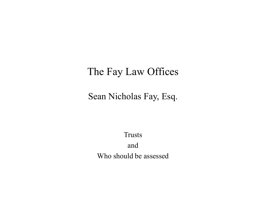#### The Fay Law Offices

#### Sean Nicholas Fay, Esq.

Trusts and Who should be assessed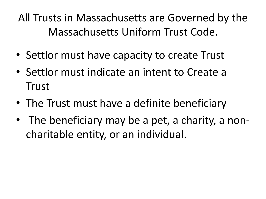All Trusts in Massachusetts are Governed by the Massachusetts Uniform Trust Code.

- Settlor must have capacity to create Trust
- Settlor must indicate an intent to Create a Trust
- The Trust must have a definite beneficiary
- The beneficiary may be a pet, a charity, a noncharitable entity, or an individual.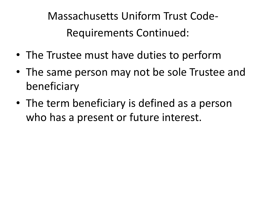Massachusetts Uniform Trust Code-Requirements Continued:

- The Trustee must have duties to perform
- The same person may not be sole Trustee and beneficiary
- The term beneficiary is defined as a person who has a present or future interest.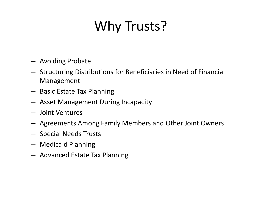# Why Trusts?

- Avoiding Probate
- Structuring Distributions for Beneficiaries in Need of Financial Management
- Basic Estate Tax Planning
- Asset Management During Incapacity
- Joint Ventures
- Agreements Among Family Members and Other Joint Owners
- Special Needs Trusts
- Medicaid Planning
- Advanced Estate Tax Planning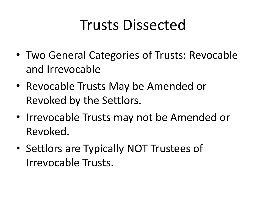# Trusts Dissected

- Two General Categories of Trusts: Revocable and Irrevocable
- Revocable Trusts May be Amended or Revoked by the Settlors.
- Irrevocable Trusts may not be Amended or Revoked.
- Settlors are Typically NOT Trustees of Irrevocable Trusts.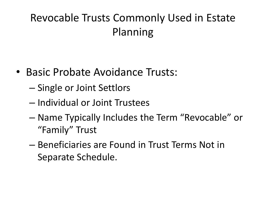# Revocable Trusts Commonly Used in Estate Planning

- Basic Probate Avoidance Trusts:
	- Single or Joint Settlors
	- Individual or Joint Trustees
	- Name Typically Includes the Term "Revocable" or "Family" Trust
	- Beneficiaries are Found in Trust Terms Not in Separate Schedule.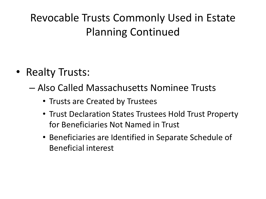# Revocable Trusts Commonly Used in Estate Planning Continued

- Realty Trusts:
	- Also Called Massachusetts Nominee Trusts
		- Trusts are Created by Trustees
		- Trust Declaration States Trustees Hold Trust Property for Beneficiaries Not Named in Trust
		- Beneficiaries are Identified in Separate Schedule of Beneficial interest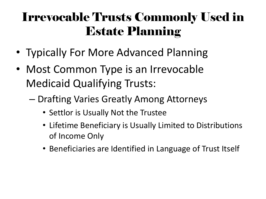# Irrevocable Trusts Commonly Used in Estate Planning

- Typically For More Advanced Planning
- Most Common Type is an Irrevocable Medicaid Qualifying Trusts:
	- Drafting Varies Greatly Among Attorneys
		- Settlor is Usually Not the Trustee
		- Lifetime Beneficiary is Usually Limited to Distributions of Income Only
		- Beneficiaries are Identified in Language of Trust Itself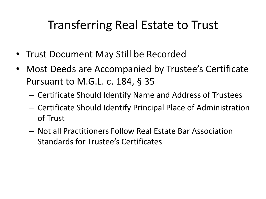# Transferring Real Estate to Trust

- Trust Document May Still be Recorded
- Most Deeds are Accompanied by Trustee's Certificate Pursuant to M.G.L. c. 184, § 35
	- Certificate Should Identify Name and Address of Trustees
	- Certificate Should Identify Principal Place of Administration of Trust
	- Not all Practitioners Follow Real Estate Bar Association Standards for Trustee's Certificates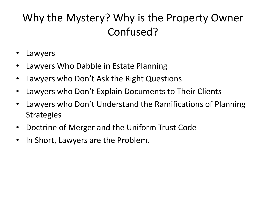## Why the Mystery? Why is the Property Owner Confused?

- **Lawyers**
- Lawyers Who Dabble in Estate Planning
- Lawyers who Don't Ask the Right Questions
- Lawyers who Don't Explain Documents to Their Clients
- Lawyers who Don't Understand the Ramifications of Planning **Strategies**
- Doctrine of Merger and the Uniform Trust Code
- In Short, Lawyers are the Problem.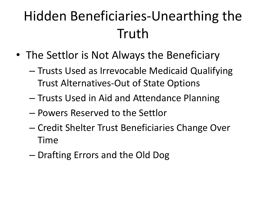# Hidden Beneficiaries-Unearthing the Truth

- The Settlor is Not Always the Beneficiary
	- Trusts Used as Irrevocable Medicaid Qualifying Trust Alternatives-Out of State Options
	- Trusts Used in Aid and Attendance Planning
	- Powers Reserved to the Settlor
	- Credit Shelter Trust Beneficiaries Change Over Time
	- Drafting Errors and the Old Dog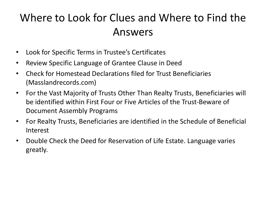### Where to Look for Clues and Where to Find the Answers

- Look for Specific Terms in Trustee's Certificates
- Review Specific Language of Grantee Clause in Deed
- Check for Homestead Declarations filed for Trust Beneficiaries (Masslandrecords.com)
- For the Vast Majority of Trusts Other Than Realty Trusts, Beneficiaries will be identified within First Four or Five Articles of the Trust-Beware of Document Assembly Programs
- For Realty Trusts, Beneficiaries are identified in the Schedule of Beneficial Interest
- Double Check the Deed for Reservation of Life Estate. Language varies greatly.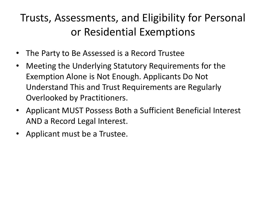## Trusts, Assessments, and Eligibility for Personal or Residential Exemptions

- The Party to Be Assessed is a Record Trustee
- Meeting the Underlying Statutory Requirements for the Exemption Alone is Not Enough. Applicants Do Not Understand This and Trust Requirements are Regularly Overlooked by Practitioners.
- Applicant MUST Possess Both a Sufficient Beneficial Interest AND a Record Legal Interest.
- Applicant must be a Trustee.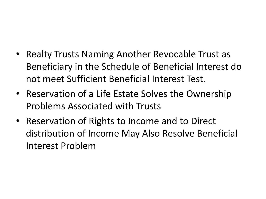- Realty Trusts Naming Another Revocable Trust as Beneficiary in the Schedule of Beneficial Interest do not meet Sufficient Beneficial Interest Test.
- Reservation of a Life Estate Solves the Ownership Problems Associated with Trusts
- Reservation of Rights to Income and to Direct distribution of Income May Also Resolve Beneficial Interest Problem